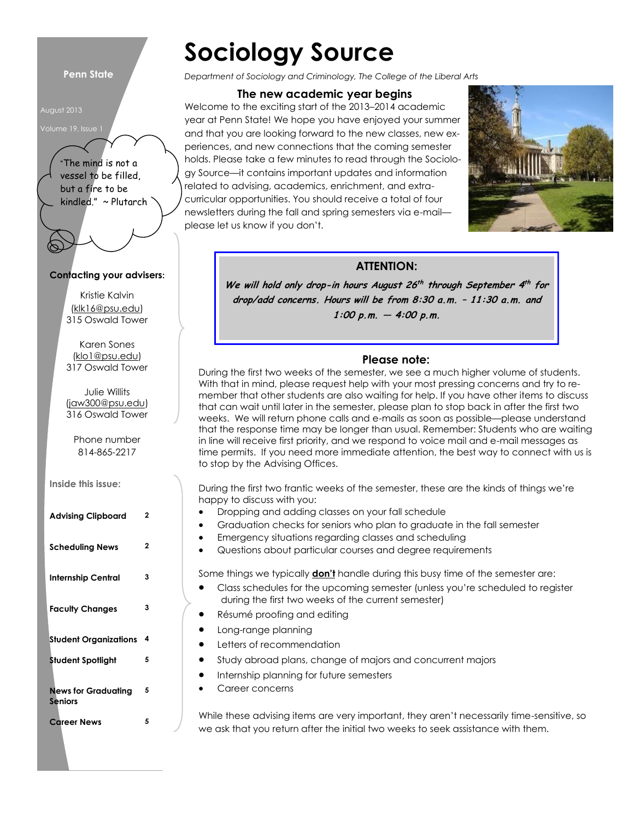#### **Penn State**

August 2013



"The mind is not a vessel to be filled, but a fire to be kindled." ~ Plutarch

#### **Contacting your advisers:**

Kristie Kalvin [\(klk16@psu.edu\)](mailto:klk16@psu.edu) 315 Oswald Tower

Karen Sones (klo1@psu.edu) 317 Oswald Tower

Julie Willits (jaw300@psu.edu) 316 Oswald Tower

Phone number 814-865-2217

**Inside this issue:**

| <b>Advising Clipboard</b>                    | 2 |
|----------------------------------------------|---|
| <b>Scheduling News</b>                       | 2 |
| Internship Central                           | 3 |
| <b>Faculty Changes</b>                       | 3 |
| Student Organizations                        | 4 |
| Student Spotlight                            | 5 |
| <b>News for Graduating</b><br><b>Seniors</b> | 5 |
| <b>Career News</b>                           | 5 |

# **Sociology Source**

*Department of Sociology and Criminology, The College of the Liberal Arts*

#### **The new academic year begins**

Welcome to the exciting start of the 2013–2014 academic year at Penn State! We hope you have enjoyed your summer and that you are looking forward to the new classes, new experiences, and new connections that the coming semester holds. Please take a few minutes to read through the Sociology Source—it contains important updates and information related to advising, academics, enrichment, and extracurricular opportunities. You should receive a total of four newsletters during the fall and spring semesters via e-mail please let us know if you don't.



#### **ATTENTION:**

**We will hold only drop-in hours August 26 th through September 4 th for drop/add concerns. Hours will be from 8:30 a.m. – 11:30 a.m. and 1:00 p.m. — 4:00 p.m.** 

#### **Please note:**

During the first two weeks of the semester, we see a much higher volume of students. With that in mind, please request help with your most pressing concerns and try to remember that other students are also waiting for help. If you have other items to discuss that can wait until later in the semester, please plan to stop back in after the first two weeks. We will return phone calls and e-mails as soon as possible—please understand that the response time may be longer than usual. Remember: Students who are waiting in line will receive first priority, and we respond to voice mail and e-mail messages as time permits. If you need more immediate attention, the best way to connect with us is to stop by the Advising Offices.

During the first two frantic weeks of the semester, these are the kinds of things we're happy to discuss with you:

- Dropping and adding classes on your fall schedule
- Graduation checks for seniors who plan to graduate in the fall semester
- Emergency situations regarding classes and scheduling
- Questions about particular courses and degree requirements

Some things we typically **don't** handle during this busy time of the semester are:

- Class schedules for the upcoming semester (unless you're scheduled to register during the first two weeks of the current semester)
- Résumé proofing and editing
- **•** Long-range planning
- **•** Letters of recommendation
- Study abroad plans, change of majors and concurrent majors
- Internship planning for future semesters
- Career concerns

While these advising items are very important, they aren't necessarily time-sensitive, so we ask that you return after the initial two weeks to seek assistance with them.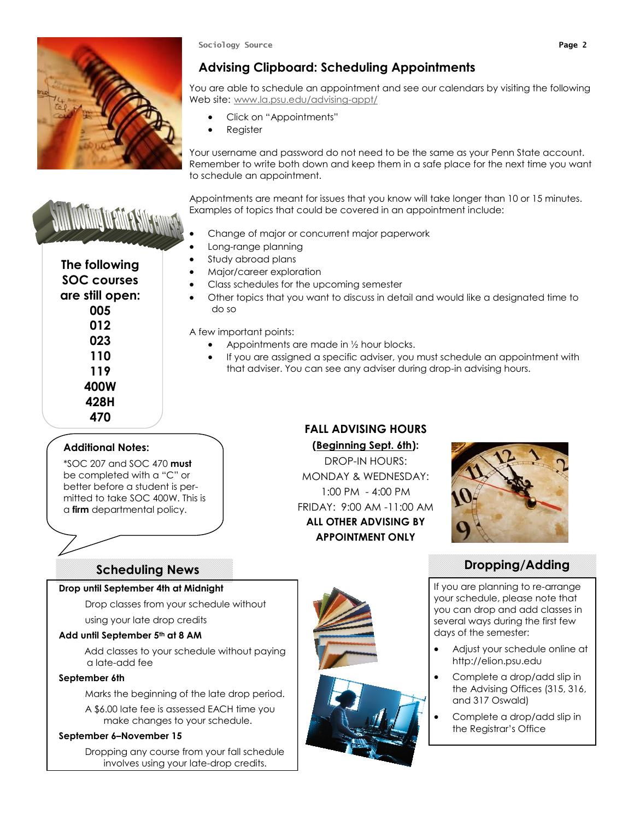

**Sociology Source Page 2**

# **Advising Clipboard: Scheduling Appointments**

You are able to schedule an appointment and see our calendars by visiting the following Web site: [www.la.psu.edu/advising-appt/](http://www.la.psu.edu/advising-appt/)

- Click on "Appointments"
- Register

Your username and password do not need to be the same as your Penn State account. Remember to write both down and keep them in a safe place for the next time you want to schedule an appointment.

Appointments are meant for issues that you know will take longer than 10 or 15 minutes. Examples of topics that could be covered in an appointment include:

- Change of major or concurrent major paperwork
- Long-range planning
- Study abroad plans
- Major/career exploration
- Class schedules for the upcoming semester
- Other topics that you want to discuss in detail and would like a designated time to do so

A few important points:

- Appointments are made in ½ hour blocks.
- If you are assigned a specific adviser, you must schedule an appointment with that adviser. You can see any adviser during drop-in advising hours.

# **FALL ADVISING HOURS**

# **(Beginning Sept. 6th):**

DROP-IN HOURS: MONDAY & WEDNESDAY: 1:00 PM - 4:00 PM FRIDAY: 9:00 AM -11:00 AM **ALL OTHER ADVISING BY APPOINTMENT ONLY**



# **Dropping/Adding**

If you are planning to re-arrange your schedule, please note that you can drop and add classes in several ways during the first few days of the semester:

- Adjust your schedule online at http://elion.psu.edu
- Complete a drop/add slip in the Advising Offices (315, 316, and 317 Oswald)
- Complete a drop/add slip in the Registrar's Office

**The following SOC courses 005 012 023 110 119 400W 428H 470**

## **Additional Notes:**

\*SOC 207 and SOC 470 **must** be completed with a "C" or better before a student is permitted to take SOC 400W. This is a **firm** departmental policy.

# **Scheduling News**

#### **Drop until September 4th at Midnight**

Drop classes from your schedule without

using your late drop credits

#### **Add until September 5th at 8 AM**

Add classes to your schedule without paying a late-add fee

#### **September 6th**

Marks the beginning of the late drop period.

A \$6.00 late fee is assessed EACH time you make changes to your schedule.

#### **September 6–November 15**

Dropping any course from your fall schedule involves using your late-drop credits.





WWW WWW P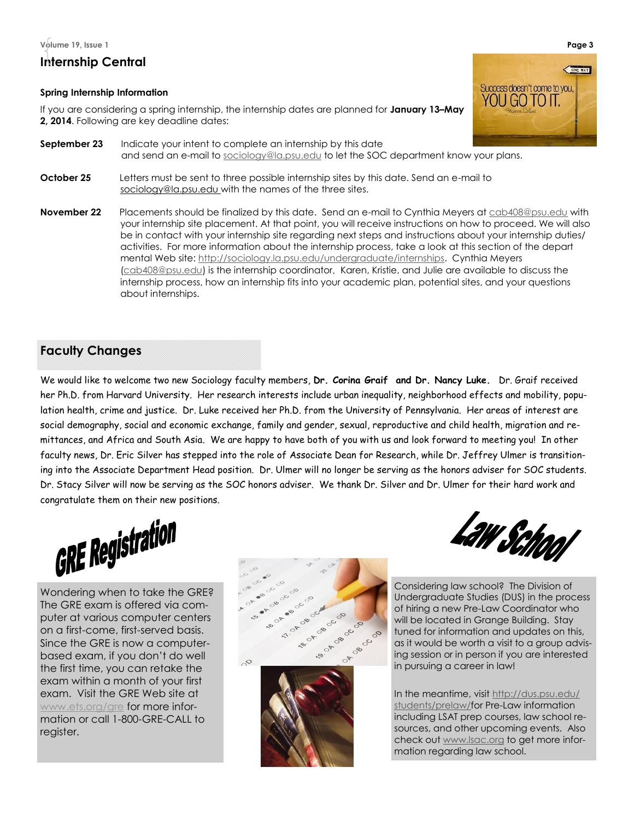**Volume 19, Issue 1 Page 3**

# **Internship Central**

#### **Spring Internship Information**

If you are considering a spring internship, the internship dates are planned for **January 13–May 2, 2014**. Following are key deadline dates:

- **September 23** Indicate your intent to complete an internship by this date and send an e-mail to [sociology@la.psu.edu](mailto:sociology@la.psu.edu) to let the SOC department know your plans.
- **October 25** Letters must be sent to three possible internship sites by this date. Send an e-mail to sociology@la.psu.edu with the names of the three sites.
- **November 22** Placements should be finalized by this date. Send an e-mail to Cynthia Meyers at [cab408@psu.edu](file:///S:/SOCY/Departmental/staff/NewsLetters/SOC%20Aug%2013%20-%20April%2014/cab408@psu.edu%20) with your internship site placement. At that point, you will receive instructions on how to proceed. We will also be in contact with your internship site regarding next steps and instructions about your internship duties/ activities. For more information about the internship process, take a look at this section of the depart mental Web site: [http://sociology.la.psu.edu/undergraduate/internships.](http://sociology.la.psu.edu/undergraduate/internships) Cynthia Meyers [\(cab408@psu.edu\)](file:///S:/SOCY/Departmental/staff/NewsLetters/SOC%20Aug%2013%20-%20April%2014/cab408@psu.edu) is the internship coordinator. Karen, Kristie, and Julie are available to discuss the internship process, how an internship fits into your academic plan, potential sites, and your questions about internships.

# **Faculty Changes**

We would like to welcome two new Sociology faculty members, **Dr. Corina Graif and Dr. Nancy Luke.** Dr. Graif received her Ph.D. from Harvard University. Her research interests include urban inequality, neighborhood effects and mobility, population health, crime and justice. Dr. Luke received her Ph.D. from the University of Pennsylvania. Her areas of interest are social demography, social and economic exchange, family and gender, sexual, reproductive and child health, migration and remittances, and Africa and South Asia. We are happy to have both of you with us and look forward to meeting you! In other faculty news, Dr. Eric Silver has stepped into the role of Associate Dean for Research, while Dr. Jeffrey Ulmer is transitioning into the Associate Department Head position. Dr. Ulmer will no longer be serving as the honors adviser for SOC students. Dr. Stacy Silver will now be serving as the SOC honors adviser. We thank Dr. Silver and Dr. Ulmer for their hard work and congratulate them on their new positions.



Wondering when to take the GRE? The GRE exam is offered via computer at various computer centers on a first-come, first-served basis. Since the GRE is now a computerbased exam, if you don't do well the first time, you can retake the exam within a month of your first exam. Visit the GRE Web site at www.ets.org/gre for more information or call 1-800-GRE-CALL to register.





Considering law school? The Division of Undergraduate Studies (DUS) in the process of hiring a new Pre-Law Coordinator who will be located in Grange Building. Stay tuned for information and updates on this, as it would be worth a visit to a group advising session or in person if you are interested in pursuing a career in law!

In the meantime, visit [http://dus.psu.edu/](http://dus.psu.edu/students/prelaw/) [students/prelaw/fo](http://dus.psu.edu/students/prelaw/)r Pre-Law information including LSAT prep courses, law school resources, and other upcoming events. Also check out [www.lsac.org](http://www.lsac.org) to get more information regarding law school.

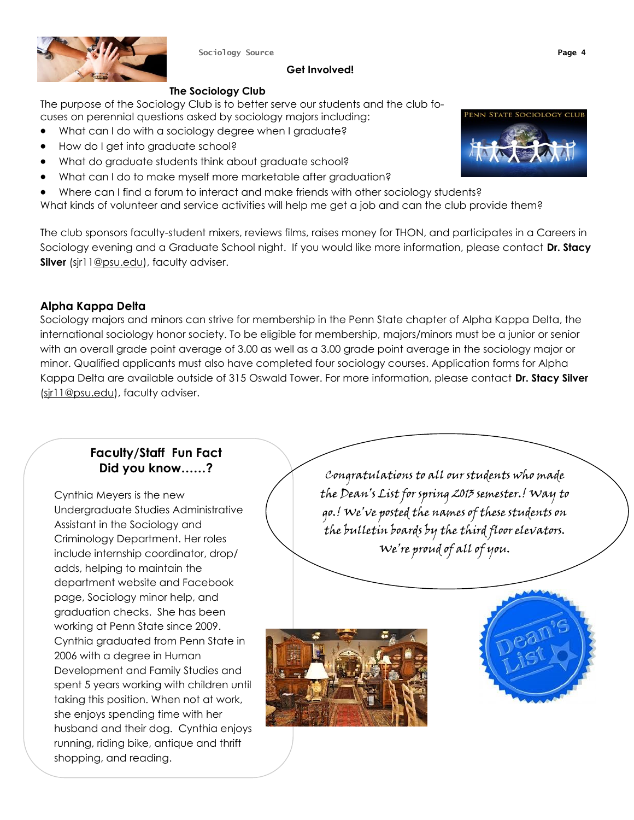

**Sociology Source Page 4**

#### **Get Involved!**

### **The Sociology Club**

The purpose of the Sociology Club is to better serve our students and the club focuses on perennial questions asked by sociology majors including:

- What can I do with a sociology degree when I graduate?
- How do I get into graduate school?
- What do graduate students think about graduate school?
- What can I do to make myself more marketable after graduation?
- Where can I find a forum to interact and make friends with other sociology students?

What kinds of volunteer and service activities will help me get a job and can the club provide them?

The club sponsors faculty-student mixers, reviews films, raises money for THON, and participates in a Careers in Sociology evening and a Graduate School night. If you would like more information, please contact **Dr. Stacy Silver** (sjr11@psu.edu), faculty adviser.

# **Alpha Kappa Delta**

Sociology majors and minors can strive for membership in the Penn State chapter of Alpha Kappa Delta, the international sociology honor society. To be eligible for membership, majors/minors must be a junior or senior with an overall grade point average of 3.00 as well as a 3.00 grade point average in the sociology major or minor. Qualified applicants must also have completed four sociology courses. Application forms for Alpha Kappa Delta are available outside of 315 Oswald Tower. For more information, please contact **Dr. Stacy Silver** (sir11@psu.edu), faculty adviser.

# **Faculty/Staff Fun Fact Did you know……?**

Cynthia Meyers is the new Undergraduate Studies Administrative Assistant in the Sociology and Criminology Department. Her roles include internship coordinator, drop/ adds, helping to maintain the department website and Facebook page, Sociology minor help, and graduation checks. She has been working at Penn State since 2009. Cynthia graduated from Penn State in 2006 with a degree in Human Development and Family Studies and spent 5 years working with children until taking this position. When not at work, she enjoys spending time with her husband and their dog. Cynthia enjoys running, riding bike, antique and thrift shopping, and reading.

Congratulations to all our students who made the Dean's List for spring 2013 semester.! Way to go.! We've posted the names of these students on the bulletin boards by the third floor elevators. We're proud of all of you.





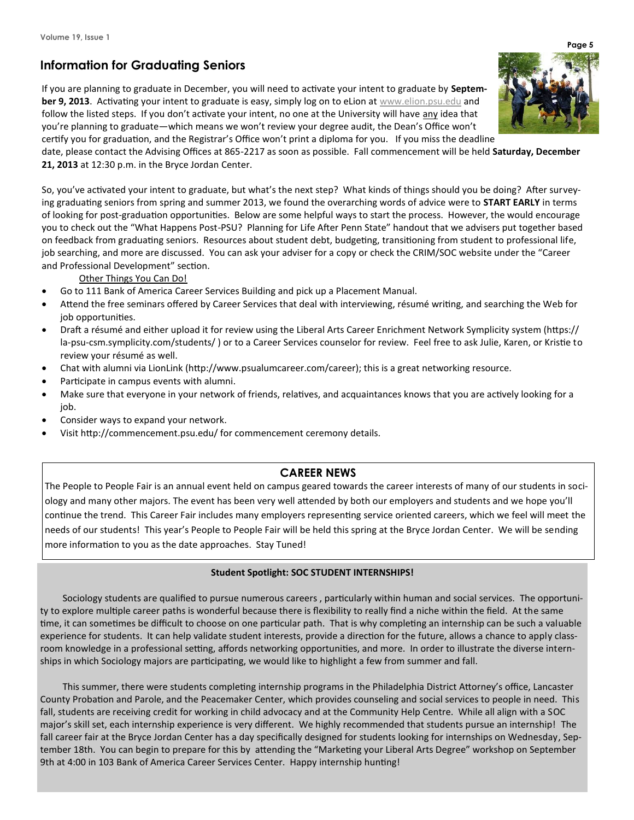# **Information for Graduating Seniors**

If you are planning to graduate in December, you will need to activate your intent to graduate by **September 9, 2013**. Activating your intent to graduate is easy, simply log on to eLion at www.elion.psu.edu and follow the listed steps. If you don't activate your intent, no one at the University will have any idea that you're planning to graduate—which means we won't review your degree audit, the Dean's Office won't certify you for graduation, and the Registrar's Office won't print a diploma for you. If you miss the deadline

date, please contact the Advising Offices at 865-2217 as soon as possible. Fall commencement will be held **Saturday, December 21, 2013** at 12:30 p.m. in the Bryce Jordan Center.

So, you've activated your intent to graduate, but what's the next step? What kinds of things should you be doing? After surveying graduating seniors from spring and summer 2013, we found the overarching words of advice were to **START EARLY** in terms of looking for post-graduation opportunities. Below are some helpful ways to start the process. However, the would encourage you to check out the "What Happens Post-PSU? Planning for Life After Penn State" handout that we advisers put together based on feedback from graduating seniors. Resources about student debt, budgeting, transitioning from student to professional life, job searching, and more are discussed. You can ask your adviser for a copy or check the CRIM/SOC website under the "Career and Professional Development" section.

#### Other Things You Can Do!

- Go to 111 Bank of America Career Services Building and pick up a Placement Manual.
- Attend the free seminars offered by Career Services that deal with interviewing, résumé writing, and searching the Web for job opportunities.
- Draft a résumé and either upload it for review using the Liberal Arts Career Enrichment Network Symplicity system (https:// la-psu-csm.symplicity.com/students/ ) or to a Career Services counselor for review. Feel free to ask Julie, Karen, or Kristie to review your résumé as well.
- Chat with alumni via LionLink (http://www.psualumcareer.com/career); this is a great networking resource.
- Participate in campus events with alumni.
- Make sure that everyone in your network of friends, relatives, and acquaintances knows that you are actively looking for a job.
- Consider ways to expand your network.
- Visit http://commencement.psu.edu/ for commencement ceremony details.

#### **CAREER NEWS**

The People to People Fair is an annual event held on campus geared towards the career interests of many of our students in sociology and many other majors. The event has been very well attended by both our employers and students and we hope you'll continue the trend. This Career Fair includes many employers representing service oriented careers, which we feel will meet the needs of our students! This year's People to People Fair will be held this spring at the Bryce Jordan Center. We will be sending more information to you as the date approaches. Stay Tuned!

#### **Student Spotlight: SOC STUDENT INTERNSHIPS!**

Sociology students are qualified to pursue numerous careers , particularly within human and social services. The opportunity to explore multiple career paths is wonderful because there is flexibility to really find a niche within the field. At the same time, it can sometimes be difficult to choose on one particular path. That is why completing an internship can be such a valuable experience for students. It can help validate student interests, provide a direction for the future, allows a chance to apply classroom knowledge in a professional setting, affords networking opportunities, and more. In order to illustrate the diverse internships in which Sociology majors are participating, we would like to highlight a few from summer and fall.

This summer, there were students completing internship programs in the Philadelphia District Attorney's office, Lancaster County Probation and Parole, and the Peacemaker Center, which provides counseling and social services to people in need. This fall, students are receiving credit for working in child advocacy and at the Community Help Centre. While all align with a SOC major's skill set, each internship experience is very different. We highly recommended that students pursue an internship! The fall career fair at the Bryce Jordan Center has a day specifically designed for students looking for internships on Wednesday, September 18th. You can begin to prepare for this by attending the "Marketing your Liberal Arts Degree" workshop on September 9th at 4:00 in 103 Bank of America Career Services Center. Happy internship hunting!